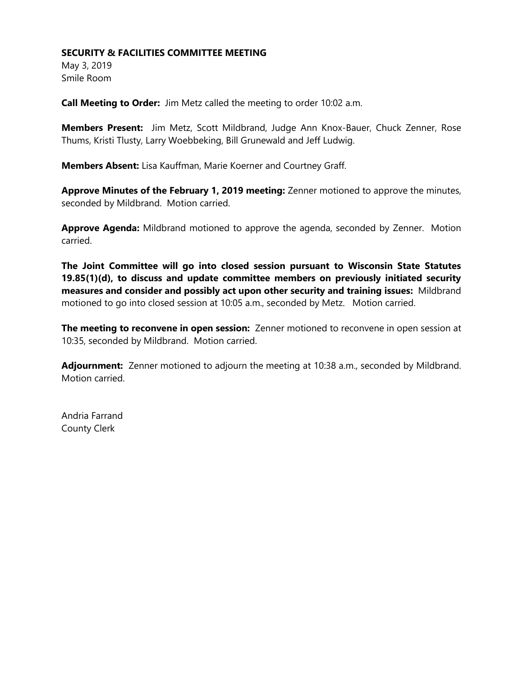## **SECURITY & FACILITIES COMMITTEE MEETING**

May 3, 2019 Smile Room

**Call Meeting to Order:** Jim Metz called the meeting to order 10:02 a.m.

**Members Present:** Jim Metz, Scott Mildbrand, Judge Ann Knox-Bauer, Chuck Zenner, Rose Thums, Kristi Tlusty, Larry Woebbeking, Bill Grunewald and Jeff Ludwig.

**Members Absent:** Lisa Kauffman, Marie Koerner and Courtney Graff.

**Approve Minutes of the February 1, 2019 meeting:** Zenner motioned to approve the minutes, seconded by Mildbrand. Motion carried.

**Approve Agenda:** Mildbrand motioned to approve the agenda, seconded by Zenner. Motion carried.

**The Joint Committee will go into closed session pursuant to Wisconsin State Statutes 19.85(1)(d), to discuss and update committee members on previously initiated security measures and consider and possibly act upon other security and training issues:** Mildbrand motioned to go into closed session at 10:05 a.m., seconded by Metz. Motion carried.

**The meeting to reconvene in open session:** Zenner motioned to reconvene in open session at 10:35, seconded by Mildbrand. Motion carried.

**Adjournment:** Zenner motioned to adjourn the meeting at 10:38 a.m., seconded by Mildbrand. Motion carried.

Andria Farrand County Clerk